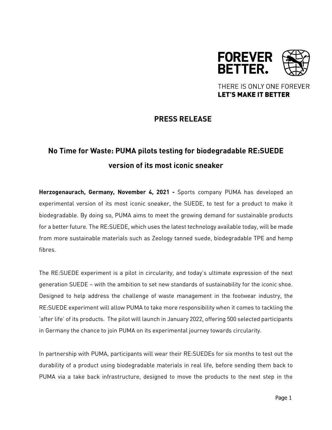

THERE IS ONLY ONE FOREVER **LET'S MAKE IT BETTER** 

## **PRESS RELEASE**

# **No Time for Waste: PUMA pilots testing for biodegradable RE:SUEDE version of its most iconic sneaker**

**Herzogenaurach, Germany, November 4, 2021 -** Sports company PUMA has developed an experimental version of its most iconic sneaker, the SUEDE, to test for a product to make it biodegradable. By doing so, PUMA aims to meet the growing demand for sustainable products for a better future. The RE:SUEDE, which uses the latest technology available today, will be made from more sustainable materials such as Zeology tanned suede, biodegradable TPE and hemp fibres.

The RE:SUEDE experiment is a pilot in circularity, and today's ultimate expression of the next generation SUEDE – with the ambition to set new standards of sustainability for the iconic shoe. Designed to help address the challenge of waste management in the footwear industry, the RE:SUEDE experiment will allow PUMA to take more responsibility when it comes to tackling the 'after life' of its products. The pilot will launch in January 2022, offering 500 selected participants in Germany the chance to join PUMA on its experimental journey towards circularity.

In partnership with PUMA, participants will wear their RE:SUEDEs for six months to test out the durability of a product using biodegradable materials in real life, before sending them back to PUMA via a take back infrastructure, designed to move the products to the next step in the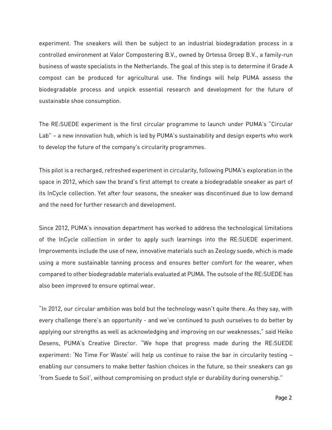experiment. The sneakers will then be subject to an industrial biodegradation process in a controlled environment at Valor Compostering B.V., owned by Ortessa Groep B.V., a family-run business of waste specialists in the Netherlands. The goal of this step is to determine if Grade A compost can be produced for agricultural use. The findings will help PUMA assess the biodegradable process and unpick essential research and development for the future of sustainable shoe consumption.

The RE:SUEDE experiment is the first circular programme to launch under PUMA's "Circular Lab" – a new innovation hub, which is led by PUMA's sustainability and design experts who work to develop the future of the company's circularity programmes.

This pilot is a recharged, refreshed experiment in circularity, following PUMA's exploration in the space in 2012, which saw the brand's first attempt to create a biodegradable sneaker as part of its InCycle collection. Yet after four seasons, the sneaker was discontinued due to low demand and the need for further research and development.

Since 2012, PUMA's innovation department has worked to address the technological limitations of the InCycle collection in order to apply such learnings into the RE:SUEDE experiment. Improvements include the use of new, innovative materials such as Zeology suede, which is made using a more sustainable tanning process and ensures better comfort for the wearer, when compared to other biodegradable materials evaluated at PUMA. The outsole of the RE:SUEDE has also been improved to ensure optimal wear.

"In 2012, our circular ambition was bold but the technology wasn't quite there. As they say, with every challenge there's an opportunity - and we've continued to push ourselves to do better by applying our strengths as well as acknowledging and improving on our weaknesses," said Heiko Desens, PUMA's Creative Director. "We hope that progress made during the RE:SUEDE experiment: 'No Time For Waste' will help us continue to raise the bar in circularity testing – enabling our consumers to make better fashion choices in the future, so their sneakers can go 'from Suede to Soil', without compromising on product style or durability during ownership."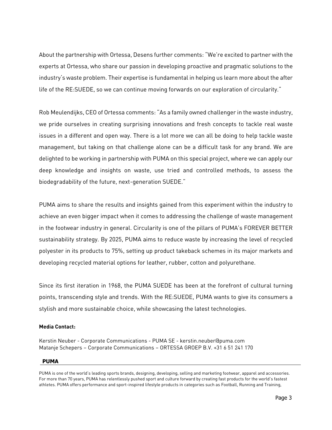About the partnership with Ortessa, Desens further comments: "We're excited to partner with the experts at Ortessa, who share our passion in developing proactive and pragmatic solutions to the industry's waste problem. Their expertise is fundamental in helping us learn more about the after life of the RE:SUEDE, so we can continue moving forwards on our exploration of circularity."

Rob Meulendijks, CEO of Ortessa comments: "As a family owned challenger in the waste industry, we pride ourselves in creating surprising innovations and fresh concepts to tackle real waste issues in a different and open way. There is a lot more we can all be doing to help tackle waste management, but taking on that challenge alone can be a difficult task for any brand. We are delighted to be working in partnership with PUMA on this special project, where we can apply our deep knowledge and insights on waste, use tried and controlled methods, to assess the biodegradability of the future, next-generation SUEDE."

PUMA aims to share the results and insights gained from this experiment within the industry to achieve an even bigger impact when it comes to addressing the challenge of waste management in the footwear industry in general. Circularity is one of the pillars of PUMA's FOREVER BETTER sustainability strategy. By 2025, PUMA aims to reduce waste by increasing the level of recycled polyester in its products to 75%, setting up product takeback schemes in its major markets and developing recycled material options for leather, rubber, cotton and polyurethane.

Since its first iteration in 1968, the PUMA SUEDE has been at the forefront of cultural turning points, transcending style and trends. With the RE:SUEDE, PUMA wants to give its consumers a stylish and more sustainable choice, while showcasing the latest technologies.

### **Media Contact:**

Kerstin Neuber - Corporate Communications - PUMA SE - kerstin.neuber@puma.com Matanje Schepers – Corporate Communications – ORTESSA GROEP B.V. +31 6 51 241 170

### **PUMA**

PUMA is one of the world's leading sports brands, designing, developing, selling and marketing footwear, apparel and accessories. For more than 70 years, PUMA has relentlessly pushed sport and culture forward by creating fast products for the world's fastest athletes. PUMA offers performance and sport-inspired lifestyle products in categories such as Football, Running and Training,